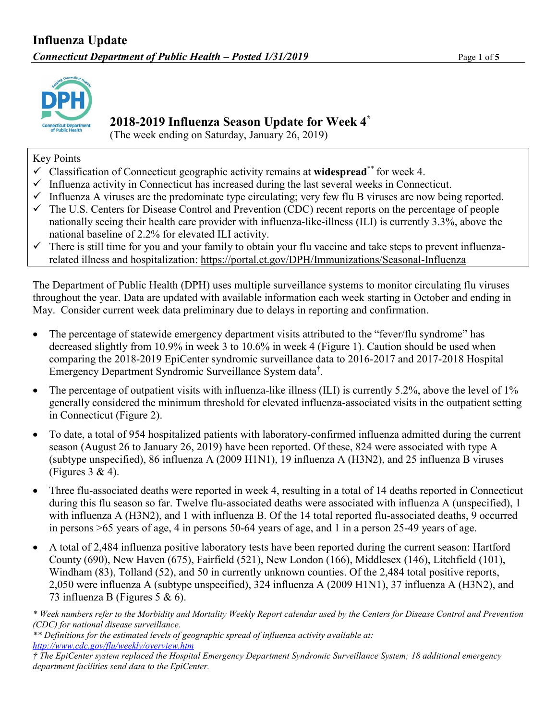

#### **2018-2019 Influenza Season Update for Week 4 \***

(The week ending on Saturday, January 26, 2019)

Key Points

- Classification of Connecticut geographic activity remains at **widespread**\*\* for week 4.
- $\checkmark$  Influenza activity in Connecticut has increased during the last several weeks in Connecticut.
- $\checkmark$  Influenza A viruses are the predominate type circulating; very few flu B viruses are now being reported.
- $\checkmark$  The U.S. Centers for Disease Control and Prevention (CDC) recent reports on the percentage of people nationally seeing their health care provider with influenza-like-illness (ILI) is currently 3.3%, above the national baseline of 2.2% for elevated ILI activity.
- $\checkmark$  There is still time for you and your family to obtain your flu vaccine and take steps to prevent influenzarelated illness and hospitalization: <https://portal.ct.gov/DPH/Immunizations/Seasonal-Influenza>

The Department of Public Health (DPH) uses multiple surveillance systems to monitor circulating flu viruses throughout the year. Data are updated with available information each week starting in October and ending in May. Consider current week data preliminary due to delays in reporting and confirmation.

- The percentage of statewide emergency department visits attributed to the "fever/flu syndrome" has decreased slightly from 10.9% in week 3 to 10.6% in week 4 (Figure 1). Caution should be used when comparing the 2018-2019 EpiCenter syndromic surveillance data to 2016-2017 and 2017-2018 Hospital Emergency Department Syndromic Surveillance System data† .
- The percentage of outpatient visits with influenza-like illness (ILI) is currently 5.2%, above the level of  $1\%$ generally considered the minimum threshold for elevated influenza-associated visits in the outpatient setting in Connecticut (Figure 2).
- To date, a total of 954 hospitalized patients with laboratory-confirmed influenza admitted during the current season (August 26 to January 26, 2019) have been reported. Of these, 824 were associated with type A (subtype unspecified), 86 influenza A (2009 H1N1), 19 influenza A (H3N2), and 25 influenza B viruses (Figures  $3 \& 4$ ).
- Three flu-associated deaths were reported in week 4, resulting in a total of 14 deaths reported in Connecticut during this flu season so far. Twelve flu-associated deaths were associated with influenza A (unspecified), 1 with influenza A (H3N2), and 1 with influenza B. Of the 14 total reported flu-associated deaths, 9 occurred in persons >65 years of age, 4 in persons 50-64 years of age, and 1 in a person 25-49 years of age.
- A total of 2,484 influenza positive laboratory tests have been reported during the current season: Hartford County (690), New Haven (675), Fairfield (521), New London (166), Middlesex (146), Litchfield (101), Windham (83), Tolland (52), and 50 in currently unknown counties. Of the 2,484 total positive reports, 2,050 were influenza A (subtype unspecified), 324 influenza A (2009 H1N1), 37 influenza A (H3N2), and 73 influenza B (Figures 5 & 6).

*\* Week numbers refer to the Morbidity and Mortality Weekly Report calendar used by the Centers for Disease Control and Prevention (CDC) for national disease surveillance.*

*<sup>\*\*</sup> Definitions for the estimated levels of geographic spread of influenza activity available at: <http://www.cdc.gov/flu/weekly/overview.htm>*

*<sup>†</sup> The EpiCenter system replaced the Hospital Emergency Department Syndromic Surveillance System; 18 additional emergency department facilities send data to the EpiCenter.*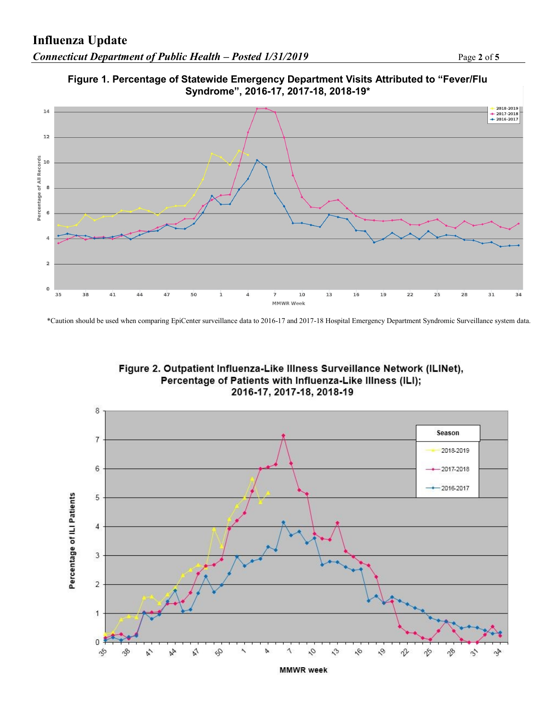



\*Caution should be used when comparing EpiCenter surveillance data to 2016-17 and 2017-18 Hospital Emergency Department Syndromic Surveillance system data.





**MMWR** week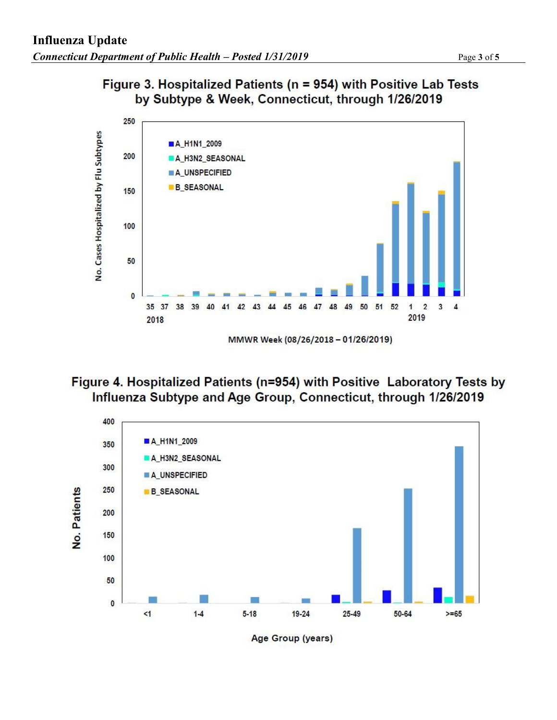

### Figure 3. Hospitalized Patients (n = 954) with Positive Lab Tests by Subtype & Week, Connecticut, through 1/26/2019

# Figure 4. Hospitalized Patients (n=954) with Positive Laboratory Tests by Influenza Subtype and Age Group, Connecticut, through 1/26/2019

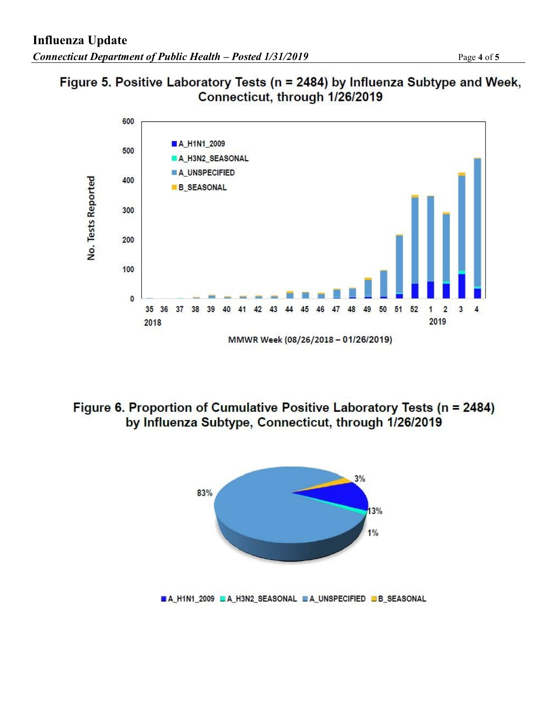



# Figure 6. Proportion of Cumulative Positive Laboratory Tests (n = 2484) by Influenza Subtype, Connecticut, through 1/26/2019